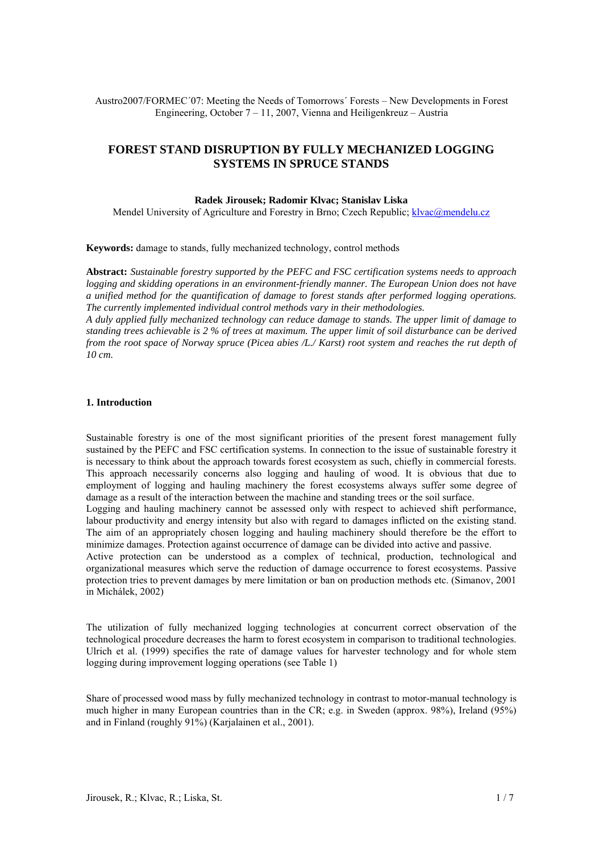Austro2007/FORMEC´07: Meeting the Needs of Tomorrows´ Forests – New Developments in Forest Engineering, October 7 – 11, 2007, Vienna and Heiligenkreuz – Austria

## **FOREST STAND DISRUPTION BY FULLY MECHANIZED LOGGING SYSTEMS IN SPRUCE STANDS**

#### **Radek Jirousek; Radomir Klvac; Stanislav Liska**

Mendel University of Agriculture and Forestry in Brno; Czech Republic; [klvac@mendelu.cz](mailto:klvac@mendelu.cz)

**Keywords:** damage to stands, fully mechanized technology, control methods

**Abstract:** *Sustainable forestry supported by the PEFC and FSC certification systems needs to approach logging and skidding operations in an environment-friendly manner. The European Union does not have a unified method for the quantification of damage to forest stands after performed logging operations. The currently implemented individual control methods vary in their methodologies.* 

*A duly applied fully mechanized technology can reduce damage to stands. The upper limit of damage to standing trees achievable is 2 % of trees at maximum. The upper limit of soil disturbance can be derived from the root space of Norway spruce (Picea abies /L./ Karst) root system and reaches the rut depth of 10 cm.* 

#### **1. Introduction**

Sustainable forestry is one of the most significant priorities of the present forest management fully sustained by the PEFC and FSC certification systems. In connection to the issue of sustainable forestry it is necessary to think about the approach towards forest ecosystem as such, chiefly in commercial forests. This approach necessarily concerns also logging and hauling of wood. It is obvious that due to employment of logging and hauling machinery the forest ecosystems always suffer some degree of damage as a result of the interaction between the machine and standing trees or the soil surface. Logging and hauling machinery cannot be assessed only with respect to achieved shift performance, labour productivity and energy intensity but also with regard to damages inflicted on the existing stand. The aim of an appropriately chosen logging and hauling machinery should therefore be the effort to minimize damages. Protection against occurrence of damage can be divided into active and passive. Active protection can be understood as a complex of technical, production, technological and organizational measures which serve the reduction of damage occurrence to forest ecosystems. Passive protection tries to prevent damages by mere limitation or ban on production methods etc. (Simanov, 2001 in Michálek, 2002)

The utilization of fully mechanized logging technologies at concurrent correct observation of the technological procedure decreases the harm to forest ecosystem in comparison to traditional technologies. Ulrich et al. (1999) specifies the rate of damage values for harvester technology and for whole stem logging during improvement logging operations (see Table 1)

Share of processed wood mass by fully mechanized technology in contrast to motor-manual technology is much higher in many European countries than in the CR; e.g. in Sweden (approx. 98%), Ireland (95%) and in Finland (roughly 91%) (Karjalainen et al., 2001).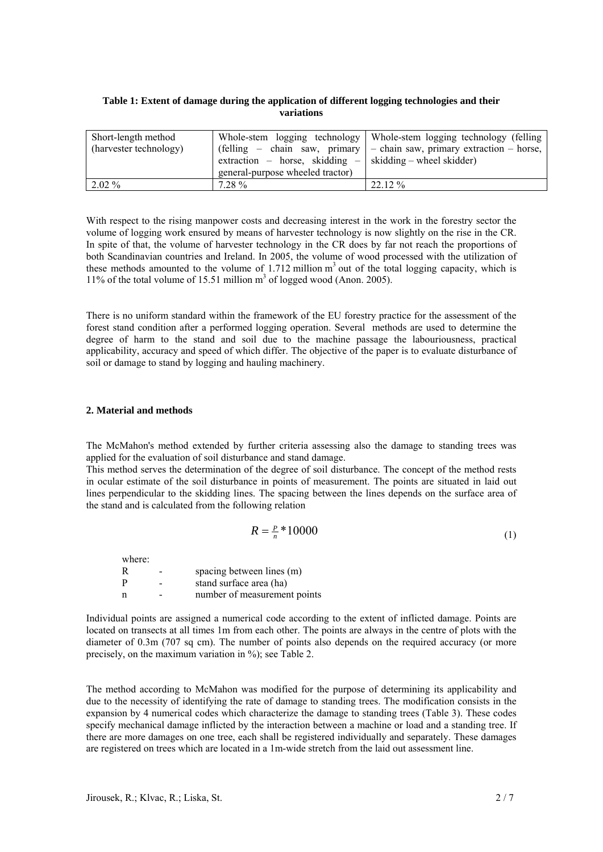| Table 1: Extent of damage during the application of different logging technologies and their |
|----------------------------------------------------------------------------------------------|
| variations                                                                                   |

| Short-length method    | extraction – horse, skidding –   skidding – wheel skidder) | Whole-stem logging technology   Whole-stem logging technology (felling         |
|------------------------|------------------------------------------------------------|--------------------------------------------------------------------------------|
| (harvester technology) | general-purpose wheeled tractor)                           | (felling – chain saw, primary $\vert$ – chain saw, primary extraction – horse, |
| $2.02\%$               | $7.28 \%$                                                  | $22.12\%$                                                                      |

With respect to the rising manpower costs and decreasing interest in the work in the forestry sector the volume of logging work ensured by means of harvester technology is now slightly on the rise in the CR. In spite of that, the volume of harvester technology in the CR does by far not reach the proportions of both Scandinavian countries and Ireland. In 2005, the volume of wood processed with the utilization of these methods amounted to the volume of  $1.712$  million  $m<sup>3</sup>$  out of the total logging capacity, which is 11% of the total volume of 15.51 million  $m<sup>3</sup>$  of logged wood (Anon. 2005).

There is no uniform standard within the framework of the EU forestry practice for the assessment of the forest stand condition after a performed logging operation. Several methods are used to determine the degree of harm to the stand and soil due to the machine passage the labouriousness, practical applicability, accuracy and speed of which differ. The objective of the paper is to evaluate disturbance of soil or damage to stand by logging and hauling machinery.

## **2. Material and methods**

The McMahon's method extended by further criteria assessing also the damage to standing trees was applied for the evaluation of soil disturbance and stand damage.

This method serves the determination of the degree of soil disturbance. The concept of the method rests in ocular estimate of the soil disturbance in points of measurement. The points are situated in laid out lines perpendicular to the skidding lines. The spacing between the lines depends on the surface area of the stand and is calculated from the following relation

$$
R = \frac{P}{n} * 10000\tag{1}
$$

where: R - spacing between lines (m)

P - stand surface area (ha) n - number of measurement points

Individual points are assigned a numerical code according to the extent of inflicted damage. Points are located on transects at all times 1m from each other. The points are always in the centre of plots with the diameter of 0.3m (707 sq cm). The number of points also depends on the required accuracy (or more precisely, on the maximum variation in %); see Table 2.

The method according to McMahon was modified for the purpose of determining its applicability and due to the necessity of identifying the rate of damage to standing trees. The modification consists in the expansion by 4 numerical codes which characterize the damage to standing trees (Table 3). These codes specify mechanical damage inflicted by the interaction between a machine or load and a standing tree. If there are more damages on one tree, each shall be registered individually and separately. These damages are registered on trees which are located in a 1m-wide stretch from the laid out assessment line.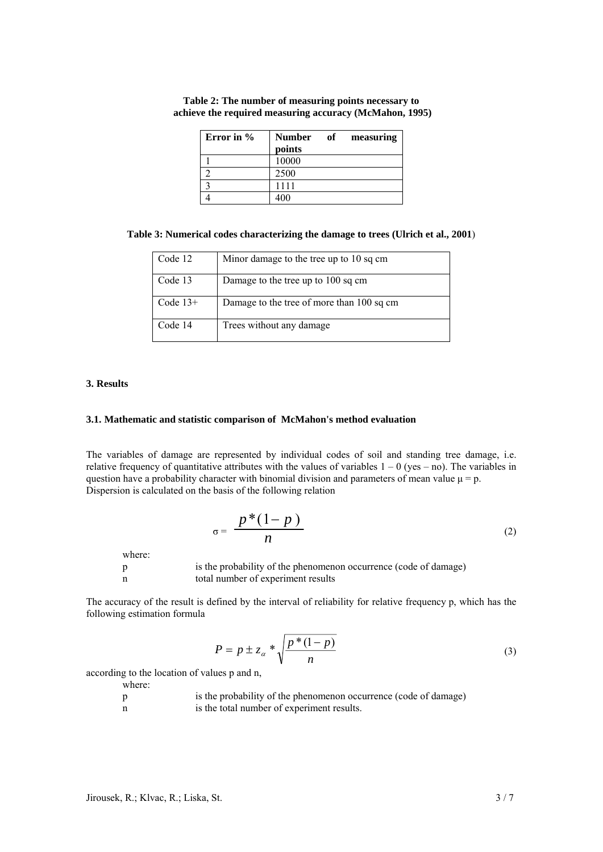| Error in % | of<br><b>Number</b><br>measuring |  |
|------------|----------------------------------|--|
|            | points                           |  |
|            | 10000                            |  |
|            | 2500                             |  |
|            | 1111                             |  |
|            | 1ሰበ                              |  |

**Table 2: The number of measuring points necessary to achieve the required measuring accuracy (McMahon, 1995)**

| Table 3: Numerical codes characterizing the damage to trees (Ulrich et al., 2001) |  |
|-----------------------------------------------------------------------------------|--|
|                                                                                   |  |

| Code 12    | Minor damage to the tree up to 10 sq cm   |
|------------|-------------------------------------------|
| Code 13    | Damage to the tree up to 100 sq cm        |
| Code $13+$ | Damage to the tree of more than 100 sq cm |
| Code 14    | Trees without any damage.                 |

## **3. Results**

## **3.1. Mathematic and statistic comparison of McMahon's method evaluation**

The variables of damage are represented by individual codes of soil and standing tree damage, i.e. relative frequency of quantitative attributes with the values of variables  $1 - 0$  (yes – no). The variables in question have a probability character with binomial division and parameters of mean value  $\mu = p$ . Dispersion is calculated on the basis of the following relation

$$
\sigma = \frac{p^*(1-p)}{n} \tag{2}
$$

where:

p is the probability of the phenomenon occurrence (code of damage) n total number of experiment results

The accuracy of the result is defined by the interval of reliability for relative frequency p, which has the following estimation formula

$$
P = p \pm z_{\alpha} * \sqrt{\frac{p * (1 - p)}{n}}
$$
\n(3)

according to the location of values p and n,

where:

| D | is the probability of the phenomenon occurrence (code of damage) |
|---|------------------------------------------------------------------|
| n | is the total number of experiment results.                       |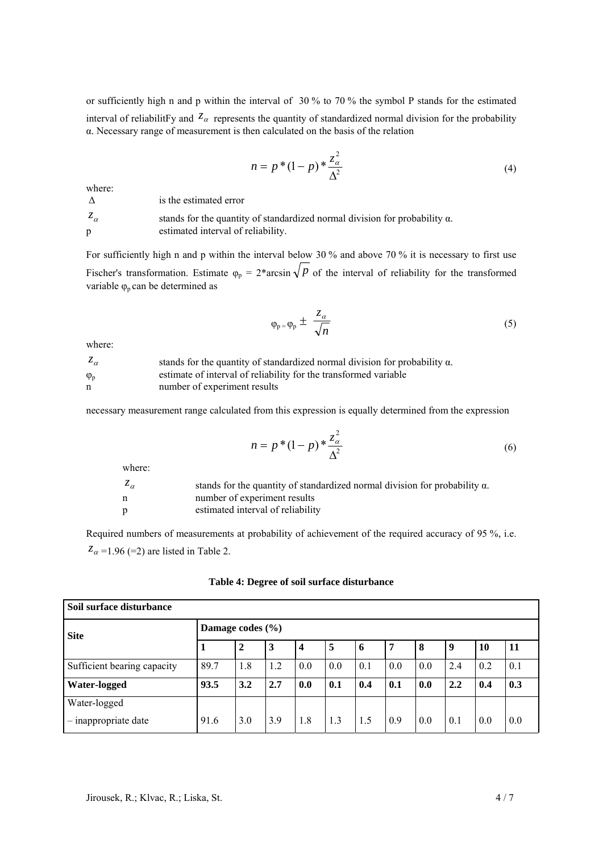or sufficiently high n and p within the interval of 30 % to 70 % the symbol P stands for the estimated interval of reliabilitFy and  $\overline{\zeta_{\alpha}}$  represents the quantity of standardized normal division for the probability α. Necessary range of measurement is then calculated on the basis of the relation

$$
n = p * (1 - p) * \frac{z_{\alpha}^2}{\Delta^2}
$$
 (4)

where:

 $\Delta$  is the estimated error

| $z_{\alpha}$ | stands for the quantity of standardized normal division for probability $\alpha$ . |
|--------------|------------------------------------------------------------------------------------|
|              | estimated interval of reliability.                                                 |

For sufficiently high n and p within the interval below 30 % and above 70 % it is necessary to first use Fischer's transformation. Estimate  $\varphi_p = 2^* \arcsin \sqrt{p}$  of the interval of reliability for the transformed variable  $\varphi_p$  can be determined as

$$
\varphi_p = \varphi_p \pm \frac{z_\alpha}{\sqrt{n}} \tag{5}
$$

where:

| $z_{\alpha}$      | stands for the quantity of standardized normal division for probability $\alpha$ . |
|-------------------|------------------------------------------------------------------------------------|
| $\varphi_{\rm p}$ | estimate of interval of reliability for the transformed variable                   |
| n                 | number of experiment results                                                       |

necessary measurement range calculated from this expression is equally determined from the expression

$$
n = p * (1 - p) * \frac{z_{\alpha}^{2}}{\Delta^{2}}
$$
 (6)

where:

| $z_{\alpha}$ | stands for the quantity of standardized normal division for probability $\alpha$ . |
|--------------|------------------------------------------------------------------------------------|
| n            | number of experiment results                                                       |
| p            | estimated interval of reliability                                                  |

Required numbers of measurements at probability of achievement of the required accuracy of 95 %, i.e.  $z_{\alpha}$  =1.96 (=2) are listed in Table 2.

| Soil surface disturbance             |                      |              |     |     |     |     |     |     |     |           |     |
|--------------------------------------|----------------------|--------------|-----|-----|-----|-----|-----|-----|-----|-----------|-----|
| <b>Site</b>                          | Damage codes $(\% )$ |              |     |     |     |     |     |     |     |           |     |
|                                      |                      | $\mathbf{2}$ | 3   | 4   | 5   | -6  |     | 8   | 9   | <b>10</b> | 11  |
| Sufficient bearing capacity          | 89.7                 | 1.8          | 1.2 | 0.0 | 0.0 | 0.1 | 0.0 | 0.0 | 2.4 | 0.2       | 0.1 |
| Water-logged                         | 93.5                 | 3.2          | 2.7 | 0.0 | 0.1 | 0.4 | 0.1 | 0.0 | 2.2 | 0.4       | 0.3 |
| Water-logged<br>- inappropriate date | 91.6                 | 3.0          | 3.9 | 1.8 | 1.3 | 1.5 | 0.9 | 0.0 | 0.1 | 0.0       | 0.0 |

|  |  |  |  |  | Table 4: Degree of soil surface disturbance |
|--|--|--|--|--|---------------------------------------------|
|--|--|--|--|--|---------------------------------------------|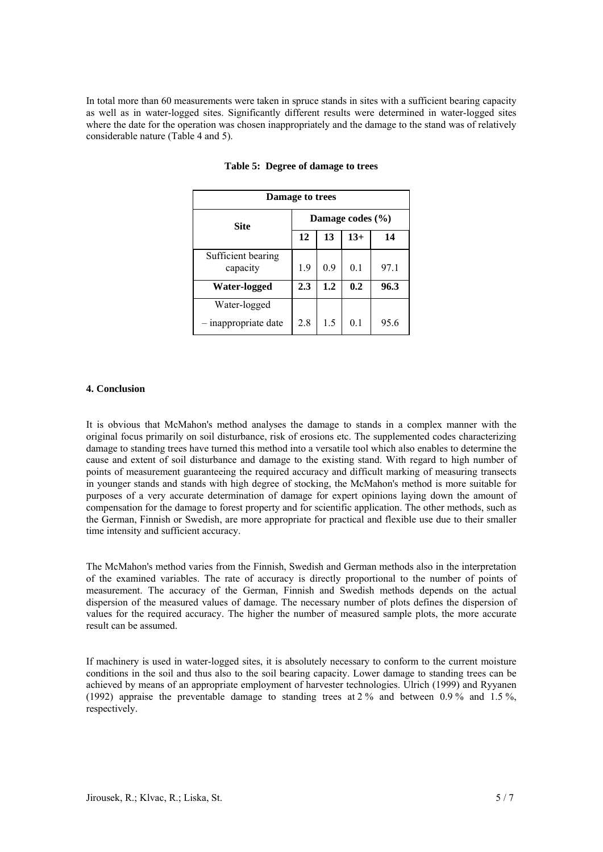In total more than 60 measurements were taken in spruce stands in sites with a sufficient bearing capacity as well as in water-logged sites. Significantly different results were determined in water-logged sites where the date for the operation was chosen inappropriately and the damage to the stand was of relatively considerable nature (Table 4 and 5).

| Damage to trees                |                         |     |     |      |  |  |  |
|--------------------------------|-------------------------|-----|-----|------|--|--|--|
| <b>Site</b>                    | Damage codes $(\% )$    |     |     |      |  |  |  |
|                                | 12<br>$13+$<br>13<br>14 |     |     |      |  |  |  |
| Sufficient bearing<br>capacity | 1.9                     | 0.9 | 0.1 | 97.1 |  |  |  |
| Water-logged                   | 2.3                     | 1.2 | 0.2 | 96.3 |  |  |  |
| Water-logged                   |                         |     |     |      |  |  |  |
| inappropriate date             | 2.8                     | 1.5 | 0.1 | 95.6 |  |  |  |

#### **Table 5: Degree of damage to trees**

## **4. Conclusion**

It is obvious that McMahon's method analyses the damage to stands in a complex manner with the original focus primarily on soil disturbance, risk of erosions etc. The supplemented codes characterizing damage to standing trees have turned this method into a versatile tool which also enables to determine the cause and extent of soil disturbance and damage to the existing stand. With regard to high number of points of measurement guaranteeing the required accuracy and difficult marking of measuring transects in younger stands and stands with high degree of stocking, the McMahon's method is more suitable for purposes of a very accurate determination of damage for expert opinions laying down the amount of compensation for the damage to forest property and for scientific application. The other methods, such as the German, Finnish or Swedish, are more appropriate for practical and flexible use due to their smaller time intensity and sufficient accuracy.

The McMahon's method varies from the Finnish, Swedish and German methods also in the interpretation of the examined variables. The rate of accuracy is directly proportional to the number of points of measurement. The accuracy of the German, Finnish and Swedish methods depends on the actual dispersion of the measured values of damage. The necessary number of plots defines the dispersion of values for the required accuracy. The higher the number of measured sample plots, the more accurate result can be assumed.

If machinery is used in water-logged sites, it is absolutely necessary to conform to the current moisture conditions in the soil and thus also to the soil bearing capacity. Lower damage to standing trees can be achieved by means of an appropriate employment of harvester technologies. Ulrich (1999) and Ryyanen (1992) appraise the preventable damage to standing trees at 2 % and between 0.9 % and 1.5 %, respectively.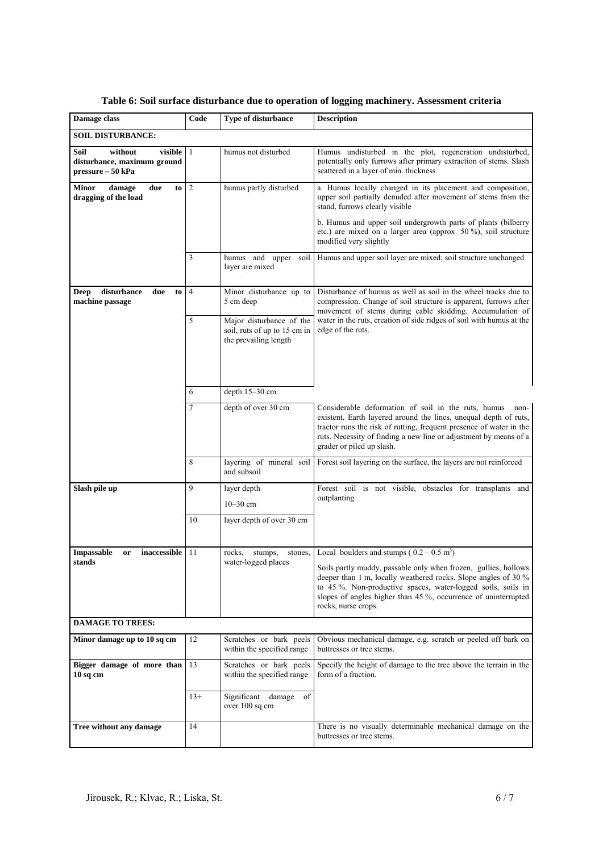| Damage class                                                                   | Code           | Type of disturbance                                                               | <b>Description</b>                                                                                                                                                                                                                                                                                       |
|--------------------------------------------------------------------------------|----------------|-----------------------------------------------------------------------------------|----------------------------------------------------------------------------------------------------------------------------------------------------------------------------------------------------------------------------------------------------------------------------------------------------------|
| <b>SOIL DISTURBANCE:</b>                                                       |                |                                                                                   |                                                                                                                                                                                                                                                                                                          |
| Soil<br>without<br>visible<br>disturbance, maximum ground<br>pressure - 50 kPa | 1              | humus not disturbed                                                               | Humus undisturbed in the plot, regeneration undisturbed,<br>potentially only furrows after primary extraction of stems. Slash<br>scattered in a layer of min. thickness                                                                                                                                  |
| Minor<br>damage<br>due<br>to<br>dragging of the load                           | $\overline{c}$ | humus partly disturbed                                                            | a. Humus locally changed in its placement and composition,<br>upper soil partially denuded after movement of stems from the<br>stand, furrows clearly visible                                                                                                                                            |
|                                                                                |                |                                                                                   | b. Humus and upper soil undergrowth parts of plants (bilberry<br>etc.) are mixed on a larger area (approx. $50\%$ ), soil structure<br>modified very slightly                                                                                                                                            |
|                                                                                | 3              | humus and upper<br>soil<br>layer are mixed                                        | Humus and upper soil layer are mixed; soil structure unchanged                                                                                                                                                                                                                                           |
| disturbance<br>due<br>Deep<br>to<br>machine passage                            | $\overline{4}$ | Minor disturbance up to<br>5 cm deep                                              | Disturbance of humus as well as soil in the wheel tracks due to<br>compression. Change of soil structure is apparent, furrows after<br>movement of stems during cable skidding. Accumulation of                                                                                                          |
|                                                                                | 5              | Major disturbance of the<br>soil, ruts of up to 15 cm in<br>the prevailing length | water in the ruts, creation of side ridges of soil with humus at the<br>edge of the ruts.                                                                                                                                                                                                                |
|                                                                                | 6              | depth 15-30 cm                                                                    |                                                                                                                                                                                                                                                                                                          |
|                                                                                | 7              | depth of over 30 cm                                                               | Considerable deformation of soil in the ruts, humus<br>non-<br>existent. Earth layered around the lines, unequal depth of ruts,<br>tractor runs the risk of rutting, frequent presence of water in the<br>ruts. Necessity of finding a new line or adjustment by means of a<br>grader or piled up slash. |
|                                                                                | 8              | layering of mineral soil<br>and subsoil                                           | Forest soil layering on the surface, the layers are not reinforced                                                                                                                                                                                                                                       |
| Slash pile up                                                                  | 9              | layer depth<br>$10 - 30$ cm                                                       | Forest soil is not visible, obstacles for transplants and<br>outplanting                                                                                                                                                                                                                                 |
|                                                                                | 10             | layer depth of over 30 cm                                                         |                                                                                                                                                                                                                                                                                                          |
| inaccessible<br><b>Impassable</b><br>or                                        | 11             | rocks,<br>stumps,<br>stones,                                                      | Local boulders and stumps ( $0.2 - 0.5$ m <sup>3</sup> )                                                                                                                                                                                                                                                 |
| stands                                                                         |                | water-logged places                                                               | Soils partly muddy, passable only when frozen, gullies, hollows<br>deeper than 1 m, locally weathered rocks. Slope angles of 30 %<br>to 45 %. Non-productive spaces, water-logged soils, soils in<br>slopes of angles higher than 45 %, occurrence of uninterrupted<br>rocks, nurse crops.               |
| <b>DAMAGE TO TREES:</b>                                                        |                |                                                                                   |                                                                                                                                                                                                                                                                                                          |
| Minor damage up to 10 sq cm                                                    | 12             | Scratches or bark peels<br>within the specified range                             | Obvious mechanical damage, e.g. scratch or peeled off bark on<br>buttresses or tree stems.                                                                                                                                                                                                               |
| Bigger damage of more than<br>$10sq$ cm                                        | 13             | Scratches or bark peels<br>within the specified range                             | Specify the height of damage to the tree above the terrain in the<br>form of a fraction.                                                                                                                                                                                                                 |
|                                                                                | $13+$          | Significant damage<br>of<br>over 100 sq cm                                        |                                                                                                                                                                                                                                                                                                          |
| Tree without any damage                                                        | 14             |                                                                                   | There is no visually determinable mechanical damage on the<br>buttresses or tree stems.                                                                                                                                                                                                                  |

# **Table 6: Soil surface disturbance due to operation of logging machinery. Assessment criteria**